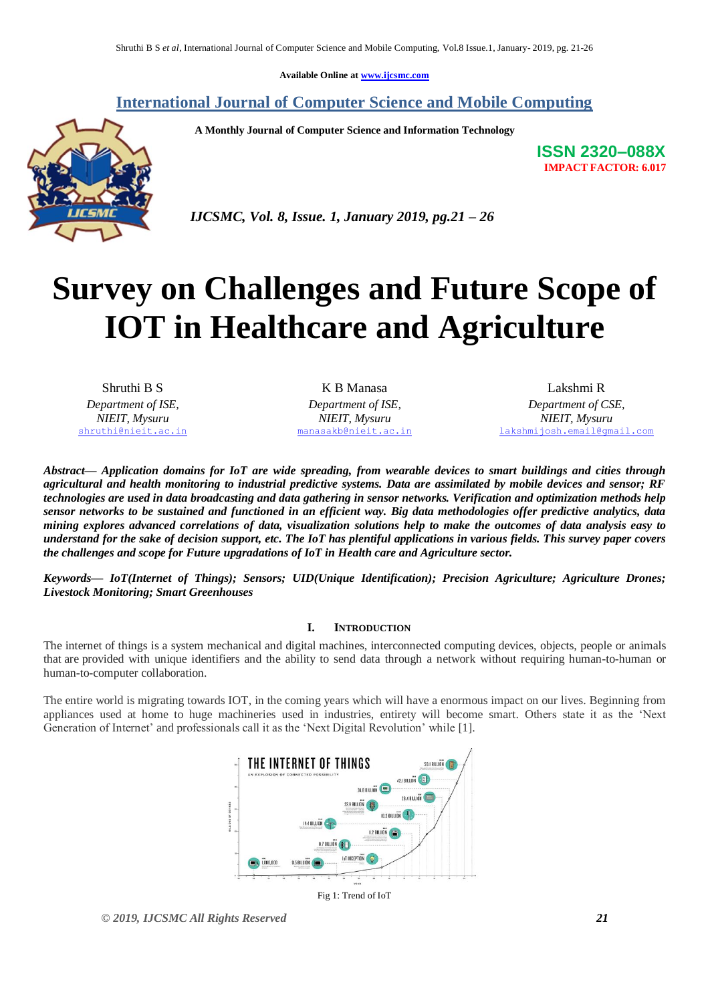**Available Online at [www.ijcsmc.com](http://www.ijcsmc.com/)**

### **International Journal of Computer Science and Mobile Computing**

 **A Monthly Journal of Computer Science and Information Technology**



**ISSN 2320–088X IMPACT FACTOR: 6.017**

 *IJCSMC, Vol. 8, Issue. 1, January 2019, pg.21 – 26*

# **Survey on Challenges and Future Scope of IOT in Healthcare and Agriculture**

Shruthi B S *Department of ISE, NIEIT, Mysuru* [shruthi@nieit.ac.in](mailto:shruthi@nieit.ac.in)

K B Manasa *Department of ISE, NIEIT, Mysuru* [manasakb@nieit.ac.in](mailto:manasakb@nieit.ac.in)

Lakshmi R *Department of CSE, NIEIT, Mysuru* [lakshmijosh.email@gmail.com](mailto:lakshmijosh.email@gmail.com)

*Abstract— Application domains for IoT are wide spreading, from wearable devices to smart buildings and cities through agricultural and health monitoring to industrial predictive systems. Data are assimilated by mobile devices and sensor; RF technologies are used in data broadcasting and data gathering in sensor networks. Verification and optimization methods help sensor networks to be sustained and functioned in an efficient way. Big data methodologies offer predictive analytics, data mining explores advanced correlations of data, visualization solutions help to make the outcomes of data analysis easy to understand for the sake of decision support, etc. The [IoT](https://internetofthingsagenda.techtarget.com/definition/Internet-of-Things-IoT) has plentiful applications in various fields. This survey paper covers the challenges and scope for Future upgradations of IoT in Health care and Agriculture sector.*

*Keywords— IoT(Internet of Things); Sensors; UID(Unique Identification); Precision Agriculture; Agriculture Drones; Livestock Monitoring; Smart Greenhouses*

#### **I. INTRODUCTION**

The internet of things is a system mechanical and digital machines, interconnected computing devices, objects, people or animals that are provided with unique identifiers and the ability to send data through a network without requiring human-to-human or human-to-computer collaboration.

The entire world is migrating towards IOT, in the coming years which will have a enormous impact on our lives. Beginning from appliances used at home to huge machineries used in industries, entirety will become smart. Others state it as the 'Next Generation of Internet' and professionals call it as the 'Next Digital Revolution' while [1].



*© 2019, IJCSMC All Rights Reserved 21*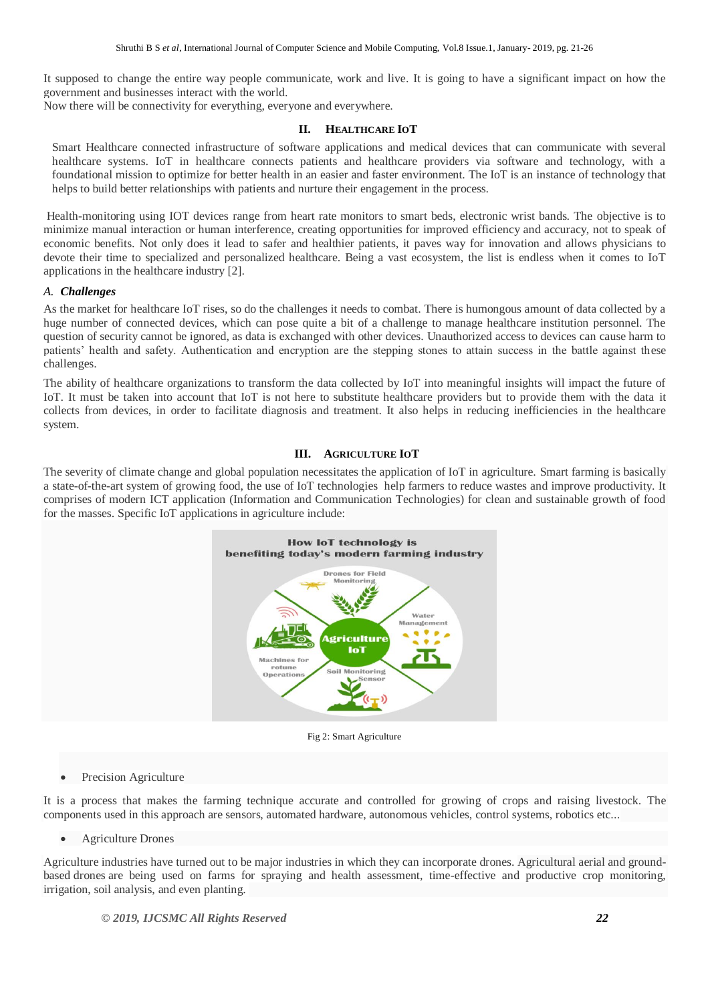It supposed to change the entire way people communicate, work and live. It is going to have a significant impact on how the government and businesses interact with the world.

Now there will be connectivity for everything, everyone and everywhere.

#### **II. HEALTHCARE IOT**

Smart Healthcare connected infrastructure of software applications and medical devices that can communicate with several healthcare systems. IoT in healthcare connects patients and healthcare providers via software and technology, with a foundational mission to optimize for better health in an easier and faster environment. The IoT is an instance of technology that helps to build better relationships with patients and nurture their engagement in the process.

Health-monitoring using IOT devices range from heart rate monitors to smart beds, electronic wrist bands. The objective is to minimize manual interaction or human interference, creating opportunities for improved efficiency and accuracy, not to speak of economic benefits. Not only does it lead to safer and healthier patients, it paves way for innovation and allows physicians to devote their time to specialized and personalized healthcare. Being a vast ecosystem, the list is endless when it comes to IoT applications in the healthcare industry [2].

#### *A. Challenges*

As the market for healthcare IoT rises, so do the challenges it needs to combat. There is humongous amount of data collected by a huge number of connected devices, which can pose quite a bit of a challenge to manage healthcare institution personnel. The question of security cannot be ignored, as data is exchanged with other devices. Unauthorized access to devices can cause harm to patients' health and safety. Authentication and encryption are the stepping stones to attain success in the battle against these challenges.

The ability of healthcare organizations to transform the data collected by IoT into meaningful insights will impact the future of IoT. It must be taken into account that IoT is not here to substitute healthcare providers but to provide them with the data it collects from devices, in order to facilitate diagnosis and treatment. It also helps in reducing inefficiencies in the healthcare system.

#### **III. AGRICULTURE IOT**

The severity of climate change and global population necessitates the application of IoT in agriculture. Smart farming is basically a state-of-the-art system of growing food, the use of [IoT technologies](https://data-flair.training/blogs/iot-technology/) help farmers to reduce wastes and improve productivity. It comprises of modern ICT application (Information and Communication Technologies) for clean and sustainable growth of food for the masses. Specific IoT applications in agriculture include:



Fig 2: Smart Agriculture

Precision Agriculture

It is a process that makes the farming technique accurate and controlled for growing of crops and raising livestock. The components used in this approach are sensors, automated hardware, autonomous vehicles, control systems, robotics etc...

Agriculture Drones

Agriculture industries have turned out to be major industries in which they can incorporate drones. Agricultural aerial and groundbased drones are being used on farms for spraying and health assessment, time-effective and productive crop monitoring, irrigation, soil analysis, and even planting.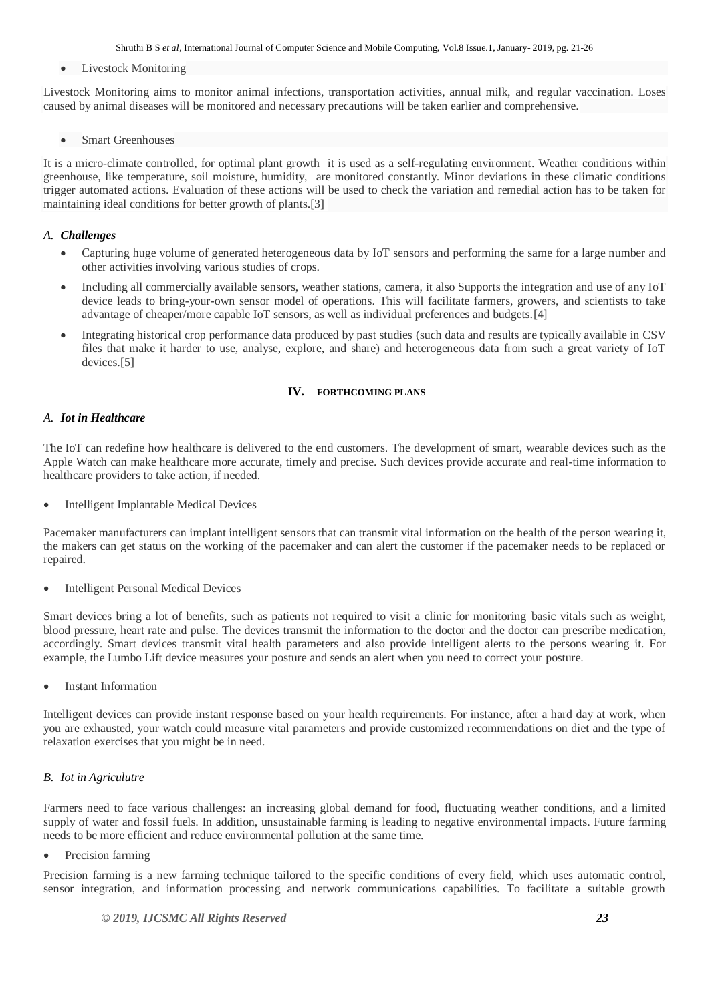Shruthi B S *et al*, International Journal of Computer Science and Mobile Computing, Vol.8 Issue.1, January- 2019, pg. 21-26

Livestock Monitoring

Livestock Monitoring aims to monitor animal infections, transportation activities, annual milk, and regular vaccination. Loses caused by animal diseases will be monitored and necessary precautions will be taken earlier and comprehensive.

Smart Greenhouses

It is a micro-climate controlled, for optimal plant growth it is used as a self-regulating environment. Weather conditions within greenhouse, like temperature, soil moisture, humidity, are monitored constantly. Minor deviations in these climatic conditions trigger automated actions. Evaluation of these actions will be used to check the variation and remedial action has to be taken for maintaining ideal conditions for better growth of plants.[3]

#### *A. Challenges*

- Capturing huge volume of generated heterogeneous data by IoT sensors and performing the same for a large number and other activities involving various studies of crops.
- Including all commercially available sensors, weather stations, camera, it also Supports the integration and use of any IoT device leads to bring-your-own sensor model of operations. This will facilitate farmers, growers, and scientists to take advantage of cheaper/more capable IoT sensors, as well as individual preferences and budgets.[4]
- Integrating historical crop performance data produced by past studies (such data and results are typically available in CSV files that make it harder to use, analyse, explore, and share) and heterogeneous data from such a great variety of IoT devices.[5]

#### **IV. FORTHCOMING PLANS**

#### *A. Iot in Healthcare*

The [IoT](https://www.esds.co.in/iot) can redefine how healthcare is delivered to the end customers. The development of smart, wearable devices such as the Apple Watch can make healthcare more accurate, timely and precise. Such devices provide accurate and real-time information to healthcare providers to take action, if needed.

Intelligent Implantable Medical Devices

Pacemaker manufacturers can implant intelligent sensors that can transmit vital information on the health of the person wearing it, the makers can get status on the working of the pacemaker and can alert the customer if the pacemaker needs to be replaced or repaired.

Intelligent Personal Medical Devices

Smart devices bring a lot of benefits, such as patients not required to visit a clinic for monitoring basic vitals such as weight, blood pressure, heart rate and pulse. The devices transmit the information to the doctor and the doctor can prescribe medication, accordingly. Smart devices transmit vital health parameters and also provide intelligent alerts to the persons wearing it. For example, the Lumbo Lift device measures your posture and sends an alert when you need to correct your posture.

Instant Information

Intelligent devices can provide instant response based on your health requirements. For instance, after a hard day at work, when you are exhausted, your watch could measure vital parameters and provide customized recommendations on diet and the type of relaxation exercises that you might be in need.

#### *B. Iot in Agriculutre*

Farmers need to face various challenges: an increasing global demand for food, fluctuating weather conditions, and a limited supply of water and fossil fuels. In addition, unsustainable farming is leading to negative environmental impacts. Future [farming](https://searchcio.techtarget.com/video/Land-OLakes-CIO-strives-to-optimize-economics-of-digital-farming)  needs to be more efficient and reduce environmental pollution at the same time.

Precision farming

Precision farming is a new farming technique tailored to the specific conditions of every field, which uses automatic control, sensor integration, and information processing and network communications capabilities. To facilitate a suitable growth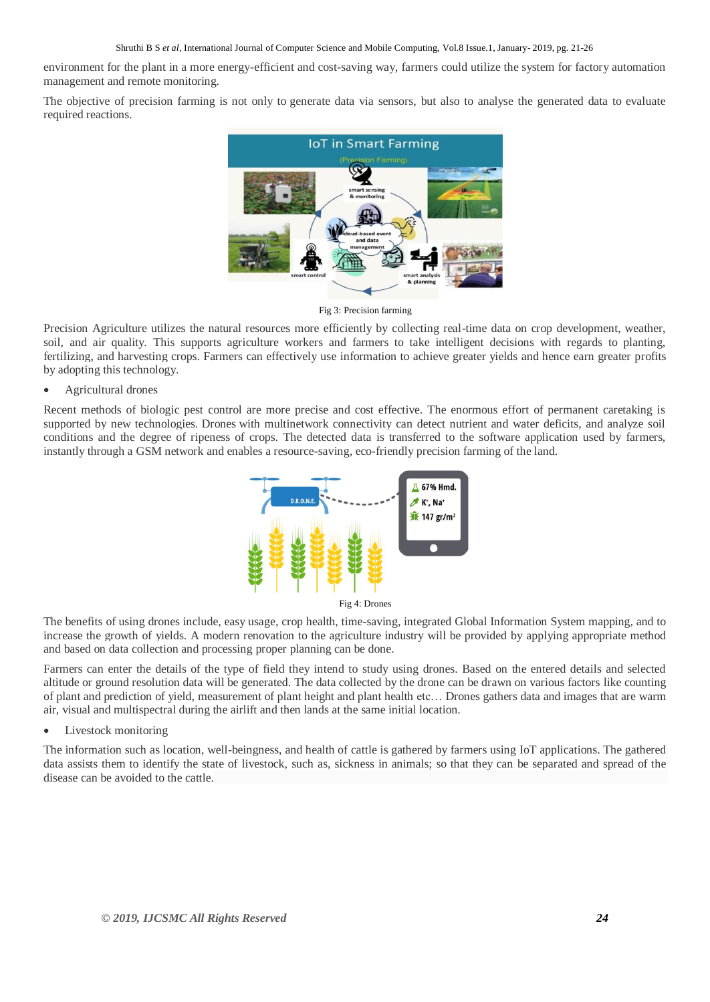environment for the plant in a more energy-efficient and cost-saving way, farmers could utilize the system for factory automation management and remote monitoring.

The objective of precision farming is not only to [generate data via sensors,](https://internetofthingsagenda.techtarget.com/definition/sensor-data) but also to analyse the generated data to evaluate required reactions.



Fig 3: Precision farming

Precision Agriculture utilizes the natural resources more efficiently by collecting real-time data on crop development, weather, soil, and air quality. This supports agriculture workers and farmers to take intelligent decisions with regards to planting, fertilizing, and harvesting crops. Farmers can effectively use information to achieve greater yields and hence earn greater profits by adopting this technology.

#### Agricultural drones

Recent methods of biologic pest control are more precise and cost effective. The enormous effort of permanent caretaking is supported by new technologies. [Drones](https://internetofthingsagenda.techtarget.com/definition/drone) with multinetwork connectivity can detect nutrient and water deficits, and analyze soil conditions and the degree of ripeness of crops. The detected data is transferred to the software application used by farmers, instantly through a [GSM network](https://searchmobilecomputing.techtarget.com/definition/GSM) and enables a resource-saving, eco-friendly precision farming of the land.



The benefits of using drones include, easy usage, crop health, time-saving, integrated Global Information System mapping, and to increase the growth of yields. A modern renovation to the agriculture industry will be provided by applying appropriate method and based on data collection and processing proper planning can be done.

Farmers can enter the details of the type of field they intend to study using drones. Based on the entered details and selected altitude or ground resolution data will be generated. The data collected by the drone can be drawn on various factors like counting of plant and prediction of yield, measurement of plant height and plant health etc… Drones gathers data and images that are warm air, visual and multispectral during the airlift and then lands at the same initial location.

#### Livestock monitoring

The information such as location, well-beingness, and health of cattle is gathered by farmers using IoT applications. The gathered data assists them to identify the state of livestock, such as, sickness in animals; so that they can be separated and spread of the disease can be avoided to the cattle.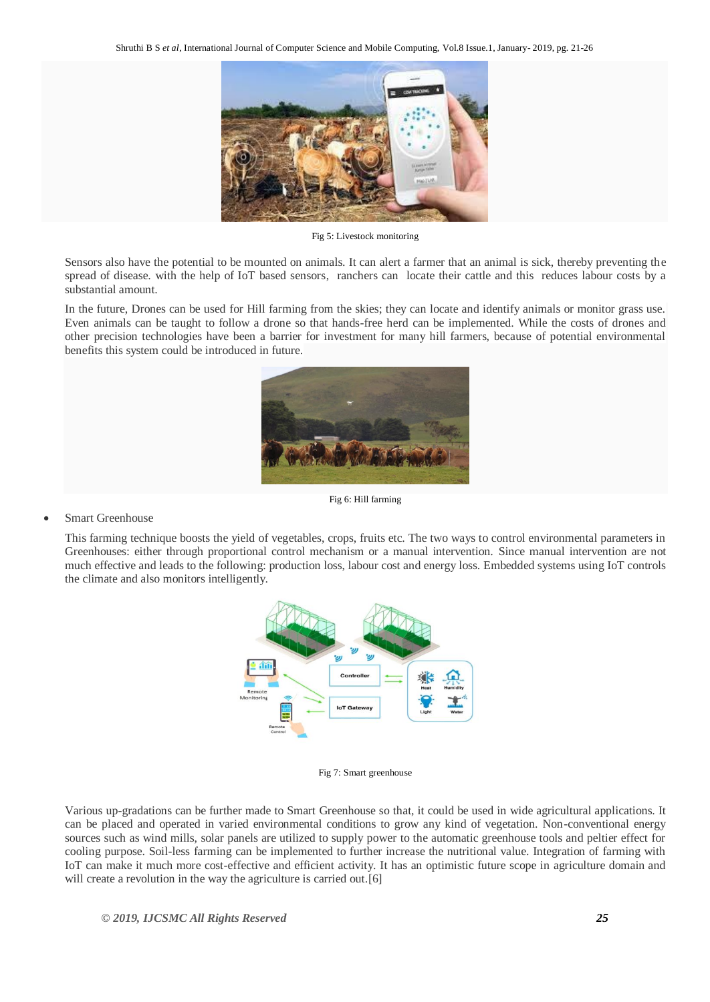

Fig 5: Livestock monitoring

Sensors also have the potential to be mounted on animals. It can alert a farmer that an animal is sick, thereby preventing the spread of disease. with the help of IoT based sensors, ranchers can locate their cattle and this reduces labour costs by a substantial amount.

In the future, Drones can be used for Hill farming from the skies; they can locate and identify animals or monitor grass use. Even animals can be taught to follow a drone so that hands-free herd can be implemented. While the costs of drones and other precision technologies have been a barrier for investment for many hill farmers, because of potential environmental benefits this system could be introduced in future.



Fig 6: Hill farming

#### Smart Greenhouse

This farming technique boosts the yield of vegetables, crops, fruits etc. The two ways to control environmental parameters in Greenhouses: either through proportional control mechanism or a manual intervention. Since manual intervention are not much effective and leads to the following: production loss, labour cost and energy loss. Embedded systems using IoT controls the climate and also monitors intelligently.



Fig 7: Smart greenhouse

Various up-gradations can be further made to Smart Greenhouse so that, it could be used in wide agricultural applications. It can be placed and operated in varied environmental conditions to grow any kind of vegetation. Non-conventional energy sources such as wind mills, solar panels are utilized to supply power to the automatic greenhouse tools and peltier effect for cooling purpose. Soil-less farming can be implemented to further increase the nutritional value. Integration of farming with IoT can make it much more cost-effective and efficient activity. It has an optimistic future scope in agriculture domain and will create a revolution in the way the agriculture is carried out.<sup>[6]</sup>